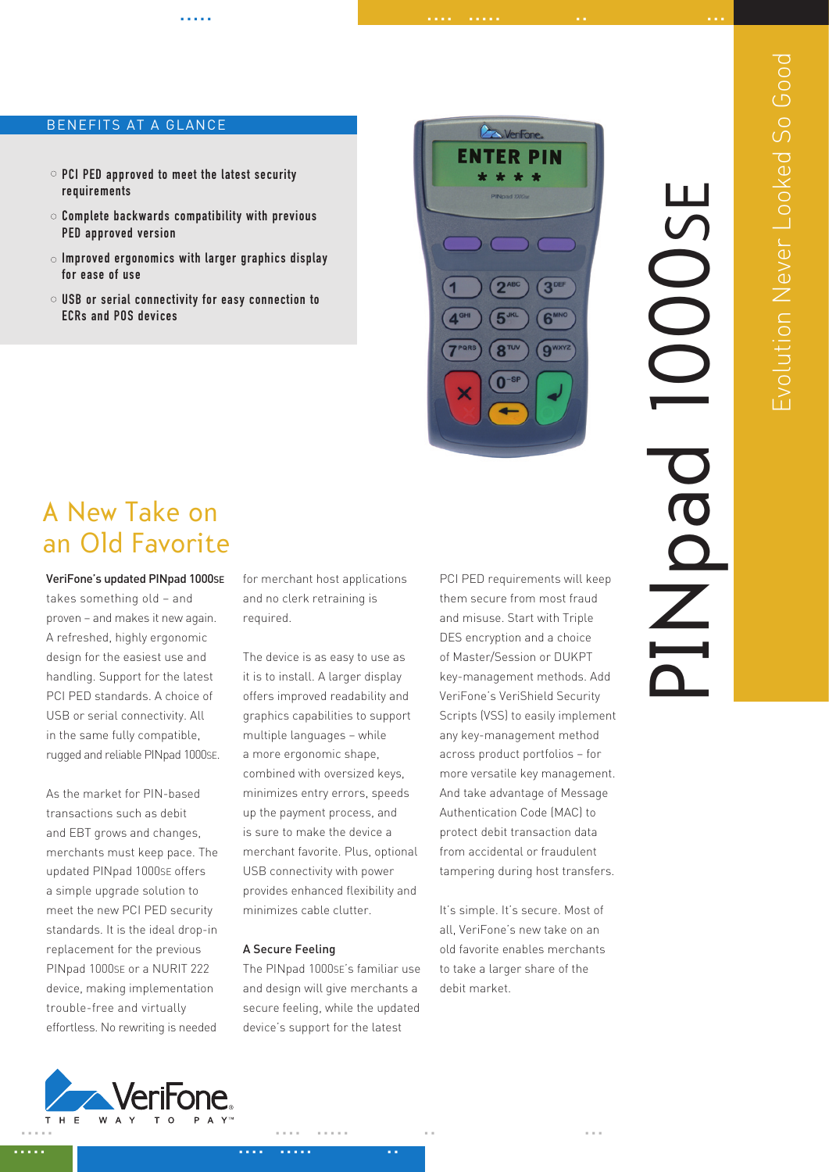# BENEFITS AT A GLANCE

- $\circ$  PCI PED approved to meet the latest security requirements
- $\circ$  Complete backwards compatibility with previous PED approved version
- $\circ$  Improved ergonomics with larger graphics display for ease of use
- USB or serial connectivity for easy connection to ECRs and POS devices

**DA Verifone ENTER PIN** 

..... .... ..... .. ...

# PINpad 1000se OOSE  $\breve{\vec{Z}}$  $\equiv$

# A New Take on an Old Favorite

VeriFone's updated PINpad 1000SE

takes something old – and proven – and makes it new again. A refreshed, highly ergonomic design for the easiest use and handling. Support for the latest PCI PED standards. A choice of USB or serial connectivity. All in the same fully compatible, rugged and reliable PINpad 1000SE.

As the market for PIN-based transactions such as debit and EBT grows and changes, merchants must keep pace. The updated PINpad 1000SE offers a simple upgrade solution to meet the new PCI PED security standards. It is the ideal drop-in replacement for the previous PINpad 1000SE or a NURIT 222 device, making implementation trouble-free and virtually effortless. No rewriting is needed

for merchant host applications and no clerk retraining is required.

The device is as easy to use as it is to install. A larger display offers improved readability and graphics capabilities to support multiple languages – while a more ergonomic shape, combined with oversized keys, minimizes entry errors, speeds up the payment process, and is sure to make the device a merchant favorite. Plus, optional USB connectivity with power provides enhanced flexibility and minimizes cable clutter.

# A Secure Feeling

The PINpad 1000SE's familiar use and design will give merchants a secure feeling, while the updated device's support for the latest

PCI PED requirements will keep them secure from most fraud and misuse. Start with Triple DES encryption and a choice of Master/Session or DUKPT key-management methods. Add VeriFone's VeriShield Security Scripts (VSS) to easily implement any key-management method across product portfolios – for more versatile key management. And take advantage of Message Authentication Code (MAC) to protect debit transaction data from accidental or fraudulent tampering during host transfers.

It's simple. It's secure. Most of all, VeriFone's new take on an old favorite enables merchants to take a larger share of the debit market.